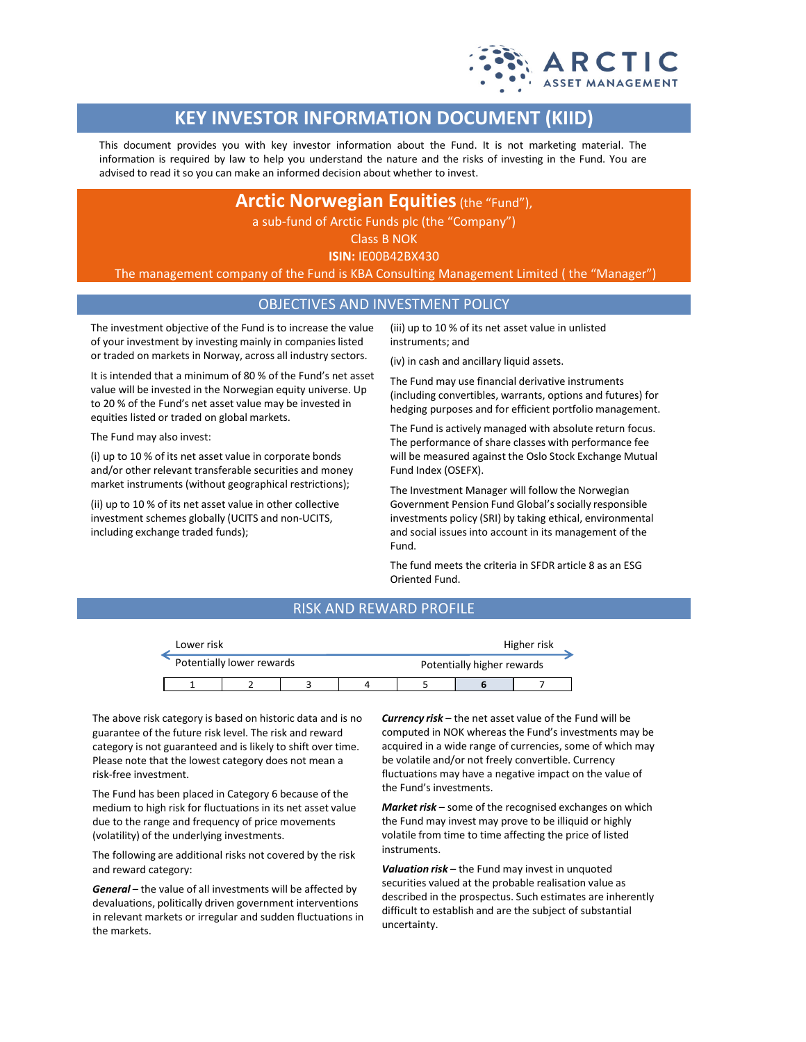

# **KEY INVESTOR INFORMATION DOCUMENT (KIID)**

This document provides you with key investor information about the Fund. It is not marketing material. The information is required by law to help you understand the nature and the risks of investing in the Fund. You are advised to read it so you can make an informed decision about whether to invest.

**Arctic Norwegian Equities** (the "Fund"),

a sub-fund of Arctic Funds plc (the "Company")

Class B NOK

**ISIN:** IE00B42BX430

The management company of the Fund is KBA Consulting Management Limited ( the "Manager")

### OBJECTIVES AND INVESTMENT POLICY

The investment objective of the Fund is to increase the value of your investment by investing mainly in companies listed or traded on markets in Norway, across all industry sectors.

It is intended that a minimum of 80 % of the Fund's net asset value will be invested in the Norwegian equity universe. Up to 20 % of the Fund's net asset value may be invested in equities listed or traded on global markets.

The Fund may also invest:

(i) up to 10 % of its net asset value in corporate bonds and/or other relevant transferable securities and money market instruments (without geographical restrictions);

(ii) up to 10 % of its net asset value in other collective investment schemes globally (UCITS and non-UCITS, including exchange traded funds);

(iii) up to 10 % of its net asset value in unlisted instruments; and

(iv) in cash and ancillary liquid assets.

The Fund may use financial derivative instruments (including convertibles, warrants, options and futures) for hedging purposes and for efficient portfolio management.

The Fund is actively managed with absolute return focus. The performance of share classes with performance fee will be measured against the Oslo Stock Exchange Mutual Fund Index (OSEFX).

The Investment Manager will follow the Norwegian Government Pension Fund Global's socially responsible investments policy (SRI) by taking ethical, environmental and social issues into account in its management of the Fund.

The fund meets the criteria in SFDR article 8 as an ESG Oriented Fund.

### RISK AND REWARD PROFILE

| Lower risk                |  |                            | Higher risk |  |  |  |  |
|---------------------------|--|----------------------------|-------------|--|--|--|--|
| Potentially lower rewards |  | Potentially higher rewards |             |  |  |  |  |
|                           |  |                            |             |  |  |  |  |

The above risk category is based on historic data and is no guarantee of the future risk level. The risk and reward category is not guaranteed and is likely to shift over time. Please note that the lowest category does not mean a risk-free investment.

The Fund has been placed in Category 6 because of the medium to high risk for fluctuations in its net asset value due to the range and frequency of price movements (volatility) of the underlying investments.

The following are additional risks not covered by the risk and reward category:

*General* – the value of all investments will be affected by devaluations, politically driven government interventions in relevant markets or irregular and sudden fluctuations in the markets.

*Currency risk* – the net asset value of the Fund will be computed in NOK whereas the Fund's investments may be acquired in a wide range of currencies, some of which may be volatile and/or not freely convertible. Currency fluctuations may have a negative impact on the value of the Fund's investments.

*Market risk* – some of the recognised exchanges on which the Fund may invest may prove to be illiquid or highly volatile from time to time affecting the price of listed instruments.

*Valuation risk* – the Fund may invest in unquoted securities valued at the probable realisation value as described in the prospectus. Such estimates are inherently difficult to establish and are the subject of substantial uncertainty.